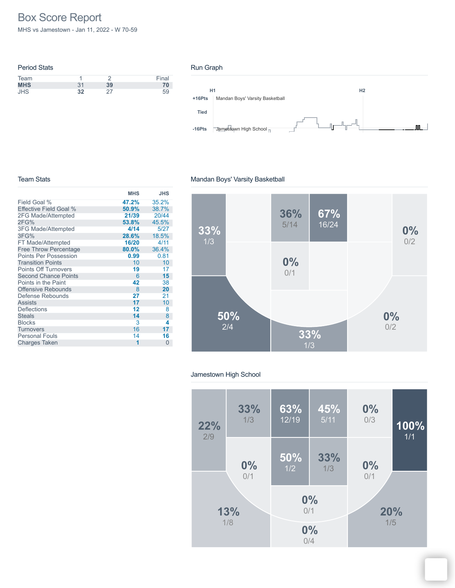# Box Score Report

MHS vs Jamestown - Jan 11, 2022 - W 70-59

| <b>Period Stats</b> |    |    |       |
|---------------------|----|----|-------|
| Team                |    |    | Final |
| <b>MHS</b>          | 31 | 39 | 70    |
| <b>JHS</b>          | 32 |    | 59    |

#### Run Graph



#### Team Stats

## Mandan Boys' Varsity Basketball

|                              | <b>MHS</b> | <b>JHS</b> |
|------------------------------|------------|------------|
| Field Goal %                 | 47.2%      | 35.2%      |
| Effective Field Goal %       | 50.9%      | 38.7%      |
| 2FG Made/Attempted           | 21/39      | 20/44      |
| 2FG%                         | 53.8%      | 45.5%      |
| 3FG Made/Attempted           | 4/14       | 5/27       |
| 3FG%                         | 28.6%      | 18.5%      |
| FT Made/Attempted            | 16/20      | 4/11       |
| <b>Free Throw Percentage</b> | 80.0%      | 36.4%      |
| Points Per Possession        | 0.99       | 0.81       |
| <b>Transition Points</b>     | 10         | 10         |
| <b>Points Off Turnovers</b>  | 19         | 17         |
| <b>Second Chance Points</b>  | 6          | 15         |
| Points in the Paint          | 42         | 38         |
| <b>Offensive Rebounds</b>    | 8          | 20         |
| Defense Rebounds             | 27         | 21         |
| <b>Assists</b>               | 17         | 10         |
| <b>Deflections</b>           | 12         | 8          |
| <b>Steals</b>                | 14         | 8          |
| <b>Blocks</b>                | 3          | 4          |
| <b>Turnovers</b>             | 16         | 17         |
| <b>Personal Fouls</b>        | 14         | 16         |
| <b>Charges Taken</b>         | 1          | $\Omega$   |
|                              |            |            |



#### Jamestown High School